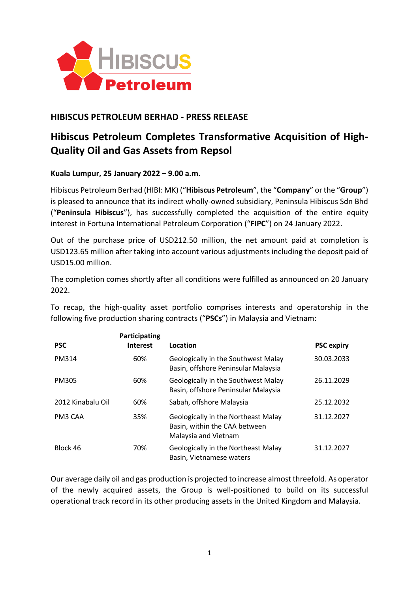

## **HIBISCUS PETROLEUM BERHAD - PRESS RELEASE**

# **Hibiscus Petroleum Completes Transformative Acquisition of High-Quality Oil and Gas Assets from Repsol**

### **Kuala Lumpur, 25 January 2022 – 9.00 a.m.**

Hibiscus Petroleum Berhad (HIBI: MK) ("**Hibiscus Petroleum**", the "**Company**" or the "**Group**") is pleased to announce that its indirect wholly-owned subsidiary, Peninsula Hibiscus Sdn Bhd ("**Peninsula Hibiscus**"), has successfully completed the acquisition of the entire equity interest in Fortuna International Petroleum Corporation ("**FIPC**") on 24 January 2022.

Out of the purchase price of USD212.50 million, the net amount paid at completion is USD123.65 million after taking into account various adjustments including the deposit paid of USD15.00 million.

The completion comes shortly after all conditions were fulfilled as announced on 20 January 2022.

To recap, the high-quality asset portfolio comprises interests and operatorship in the following five production sharing contracts ("**PSCs**") in Malaysia and Vietnam:

| <b>PSC</b>        | Participating<br><b>Interest</b> | Location                                                                                            | <b>PSC expiry</b> |
|-------------------|----------------------------------|-----------------------------------------------------------------------------------------------------|-------------------|
| PM314             | 60%                              | Geologically in the Southwest Malay<br>Basin, offshore Peninsular Malaysia                          | 30.03.2033        |
| PM305             | 60%                              | Geologically in the Southwest Malay<br>Basin, offshore Peninsular Malaysia                          | 26.11.2029        |
| 2012 Kinabalu Oil | 60%                              | Sabah, offshore Malaysia                                                                            | 25.12.2032        |
| PM3 CAA           | 35%                              | <b>Geologically in the Northeast Malay</b><br>Basin, within the CAA between<br>Malaysia and Vietnam | 31.12.2027        |
| Block 46          | 70%                              | Geologically in the Northeast Malay<br>Basin, Vietnamese waters                                     | 31.12.2027        |

Our average daily oil and gas production is projected to increase almost threefold. As operator of the newly acquired assets, the Group is well-positioned to build on its successful operational track record in its other producing assets in the United Kingdom and Malaysia.